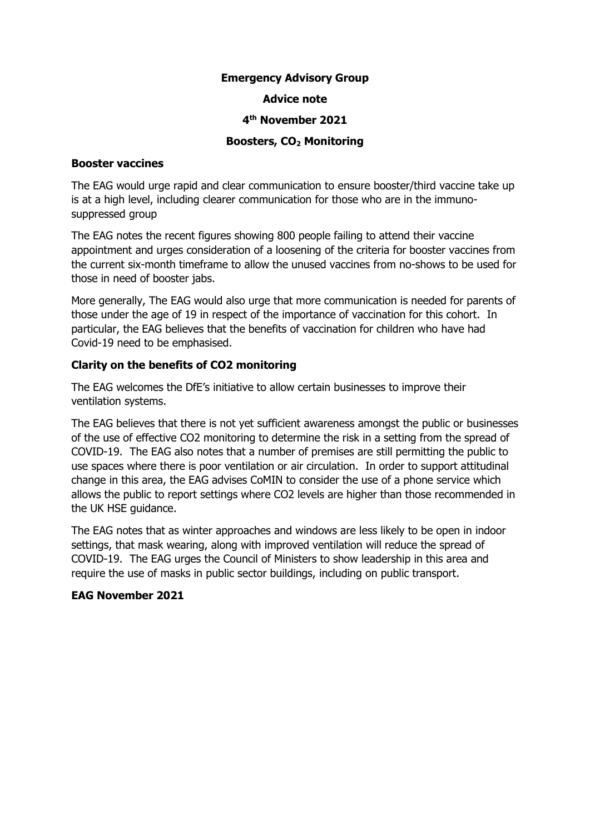# **Emergency Advisory Group**

### **Advice note**

## **4 th November 2021**

## **Boosters, CO<sup>2</sup> Monitoring**

### **Booster vaccines**

The EAG would urge rapid and clear communication to ensure booster/third vaccine take up is at a high level, including clearer communication for those who are in the immunosuppressed group

The EAG notes the recent figures showing 800 people failing to attend their vaccine appointment and urges consideration of a loosening of the criteria for booster vaccines from the current six-month timeframe to allow the unused vaccines from no-shows to be used for those in need of booster jabs.

More generally, The EAG would also urge that more communication is needed for parents of those under the age of 19 in respect of the importance of vaccination for this cohort. In particular, the EAG believes that the benefits of vaccination for children who have had Covid-19 need to be emphasised.

# **Clarity on the benefits of CO2 monitoring**

The EAG welcomes the DfE's initiative to allow certain businesses to improve their ventilation systems.

The EAG believes that there is not yet sufficient awareness amongst the public or businesses of the use of effective CO2 monitoring to determine the risk in a setting from the spread of COVID-19. The EAG also notes that a number of premises are still permitting the public to use spaces where there is poor ventilation or air circulation. In order to support attitudinal change in this area, the EAG advises CoMIN to consider the use of a phone service which allows the public to report settings where CO2 levels are higher than those recommended in the UK HSE guidance.

The EAG notes that as winter approaches and windows are less likely to be open in indoor settings, that mask wearing, along with improved ventilation will reduce the spread of COVID-19. The EAG urges the Council of Ministers to show leadership in this area and require the use of masks in public sector buildings, including on public transport.

### **EAG November 2021**